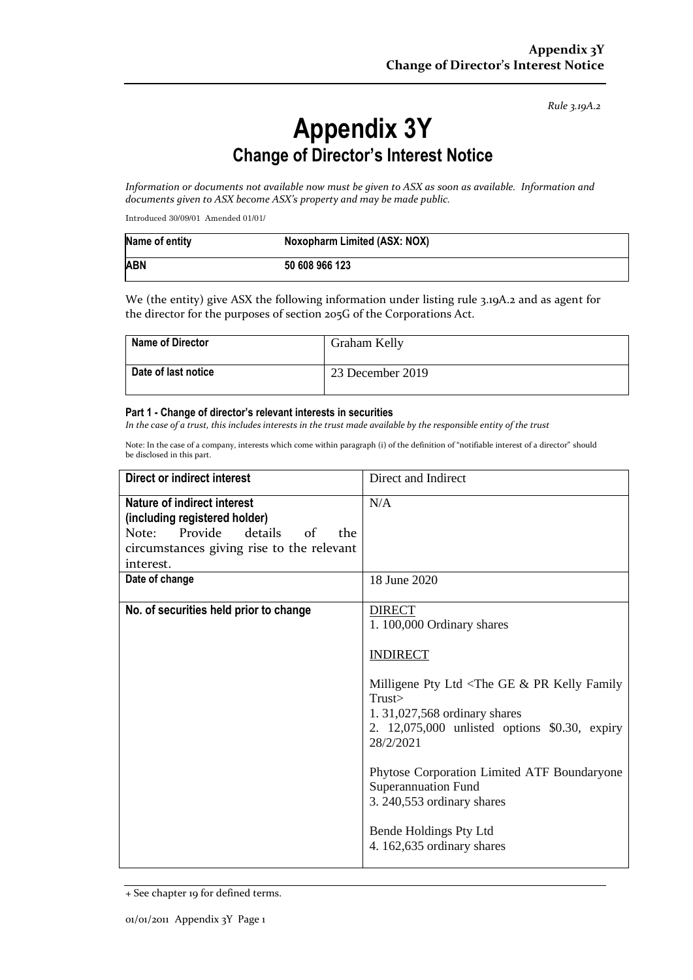*Rule 3.19A.2*

## **Appendix 3Y Change of Director's Interest Notice**

*Information or documents not available now must be given to ASX as soon as available. Information and documents given to ASX become ASX's property and may be made public.*

Introduced 30/09/01 Amended 01/01/

| Name of entity | Noxopharm Limited (ASX: NOX) |
|----------------|------------------------------|
| <b>ABN</b>     | 50 608 966 123               |

We (the entity) give ASX the following information under listing rule 3.19A.2 and as agent for the director for the purposes of section 205G of the Corporations Act.

| <b>Name of Director</b> | Graham Kelly     |
|-------------------------|------------------|
| Date of last notice     | 23 December 2019 |

## **Part 1 - Change of director's relevant interests in securities**

*In the case of a trust, this includes interests in the trust made available by the responsible entity of the trust*

Note: In the case of a company, interests which come within paragraph (i) of the definition of "notifiable interest of a director" should be disclosed in this part.

| <b>Direct or indirect interest</b>                                                                                                                                      | Direct and Indirect                                                                                                                                                                                                                                                                                                                                                                             |
|-------------------------------------------------------------------------------------------------------------------------------------------------------------------------|-------------------------------------------------------------------------------------------------------------------------------------------------------------------------------------------------------------------------------------------------------------------------------------------------------------------------------------------------------------------------------------------------|
| Nature of indirect interest<br>(including registered holder)<br>details<br>Note: Provide<br>$\alpha$ f<br>the<br>circumstances giving rise to the relevant<br>interest. | N/A                                                                                                                                                                                                                                                                                                                                                                                             |
| Date of change                                                                                                                                                          | 18 June 2020                                                                                                                                                                                                                                                                                                                                                                                    |
| No. of securities held prior to change                                                                                                                                  | <b>DIRECT</b><br>1.100,000 Ordinary shares<br><b>INDIRECT</b><br>Milligene Pty Ltd $\langle$ The GE & PR Kelly Family<br>Trust<br>1.31,027,568 ordinary shares<br>2. 12,075,000 unlisted options \$0.30, expiry<br>28/2/2021<br>Phytose Corporation Limited ATF Boundaryone<br><b>Superannuation Fund</b><br>3. 240,553 ordinary shares<br>Bende Holdings Pty Ltd<br>4. 162,635 ordinary shares |

<sup>+</sup> See chapter 19 for defined terms.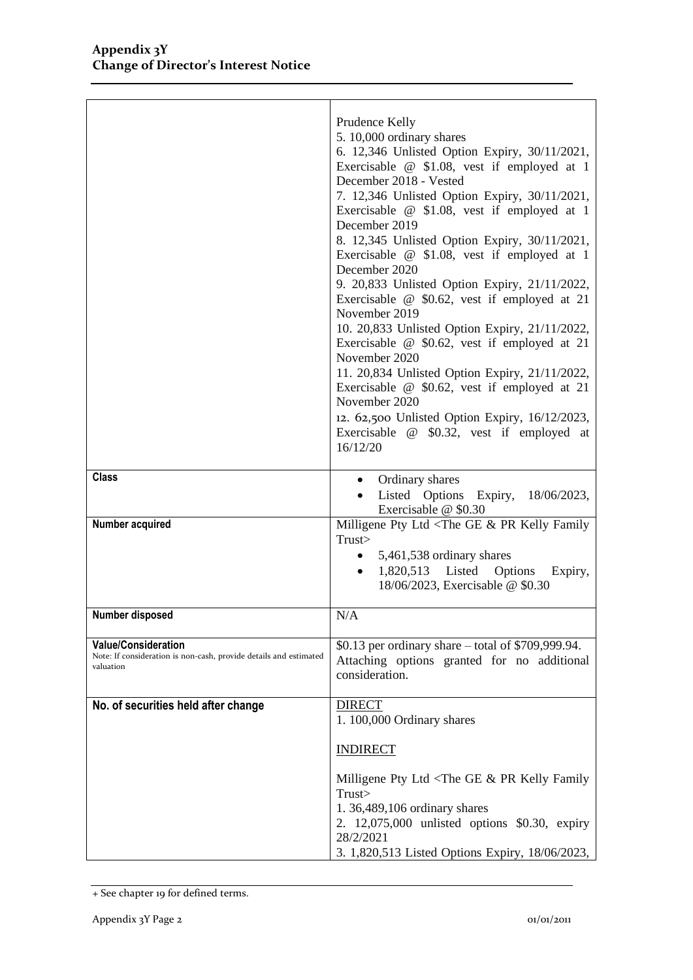|                                                                                                              | Prudence Kelly<br>5. 10,000 ordinary shares<br>6. 12,346 Unlisted Option Expiry, 30/11/2021,<br>Exercisable @ \$1.08, vest if employed at 1<br>December 2018 - Vested<br>7. 12,346 Unlisted Option Expiry, 30/11/2021,<br>Exercisable @ \$1.08, vest if employed at 1<br>December 2019<br>8. 12,345 Unlisted Option Expiry, 30/11/2021,<br>Exercisable @ \$1.08, vest if employed at 1<br>December 2020<br>9. 20,833 Unlisted Option Expiry, 21/11/2022,<br>Exercisable $@$ \$0.62, vest if employed at 21<br>November 2019<br>10. 20,833 Unlisted Option Expiry, 21/11/2022,<br>Exercisable $@$ \$0.62, vest if employed at 21<br>November 2020<br>11. 20,834 Unlisted Option Expiry, 21/11/2022,<br>Exercisable @ \$0.62, vest if employed at 21<br>November 2020<br>12. 62,500 Unlisted Option Expiry, 16/12/2023,<br>Exercisable @ \$0.32, vest if employed at<br>16/12/20 |
|--------------------------------------------------------------------------------------------------------------|--------------------------------------------------------------------------------------------------------------------------------------------------------------------------------------------------------------------------------------------------------------------------------------------------------------------------------------------------------------------------------------------------------------------------------------------------------------------------------------------------------------------------------------------------------------------------------------------------------------------------------------------------------------------------------------------------------------------------------------------------------------------------------------------------------------------------------------------------------------------------------|
| <b>Class</b>                                                                                                 | • Ordinary shares<br>Listed Options Expiry, 18/06/2023,<br>Exercisable @ \$0.30                                                                                                                                                                                                                                                                                                                                                                                                                                                                                                                                                                                                                                                                                                                                                                                                |
| Number acquired                                                                                              | Milligene Pty Ltd <the &="" family<br="" ge="" kelly="" pr="">Trust&gt;<br/>5,461,538 ordinary shares<br/><math>\bullet</math><br/>1,820,513 Listed Options<br/>Expiry,<br/><math display="inline">\bullet</math><br/>18/06/2023, Exercisable @ \$0.30</the>                                                                                                                                                                                                                                                                                                                                                                                                                                                                                                                                                                                                                   |
| Number disposed                                                                                              | N/A                                                                                                                                                                                                                                                                                                                                                                                                                                                                                                                                                                                                                                                                                                                                                                                                                                                                            |
| <b>Value/Consideration</b><br>Note: If consideration is non-cash, provide details and estimated<br>valuation | \$0.13 per ordinary share – total of \$709,999.94.<br>Attaching options granted for no additional<br>consideration.                                                                                                                                                                                                                                                                                                                                                                                                                                                                                                                                                                                                                                                                                                                                                            |
| No. of securities held after change                                                                          | <b>DIRECT</b><br>1.100,000 Ordinary shares                                                                                                                                                                                                                                                                                                                                                                                                                                                                                                                                                                                                                                                                                                                                                                                                                                     |
|                                                                                                              | <b>INDIRECT</b>                                                                                                                                                                                                                                                                                                                                                                                                                                                                                                                                                                                                                                                                                                                                                                                                                                                                |
|                                                                                                              | Milligene Pty Ltd <the &="" family<br="" ge="" kelly="" pr="">Trust &gt;<br/>1.36,489,106 ordinary shares<br/>2. 12,075,000 unlisted options \$0.30, expiry<br/>28/2/2021<br/>3. 1,820,513 Listed Options Expiry, 18/06/2023,</the>                                                                                                                                                                                                                                                                                                                                                                                                                                                                                                                                                                                                                                            |

<sup>+</sup> See chapter 19 for defined terms.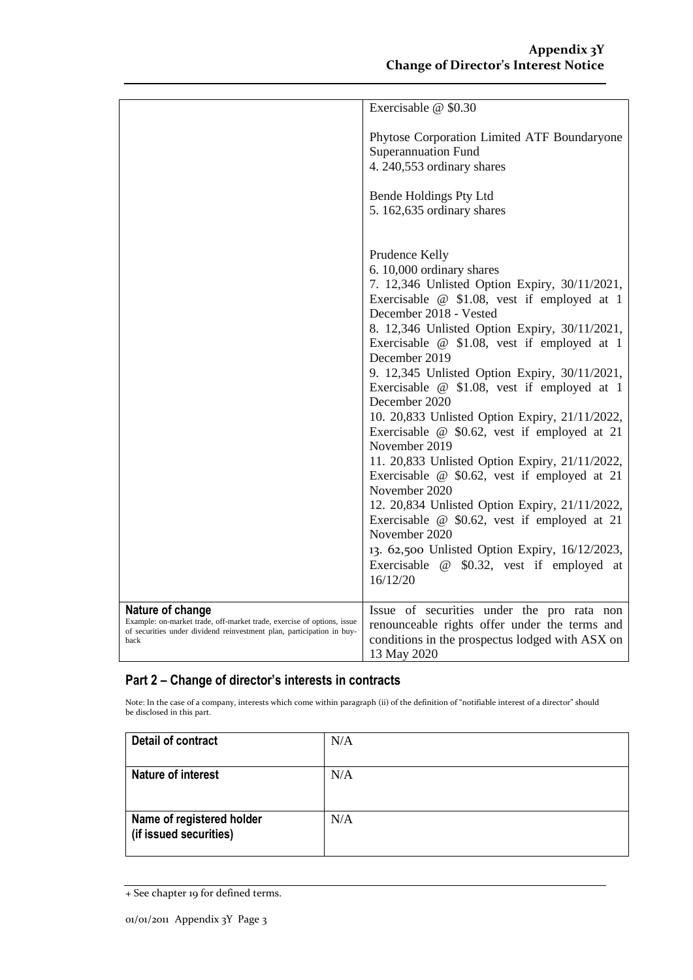|                                                                                                                                                                             | Exercisable @ \$0.30                                                                                                                                                                                                                                                                                                                                                                                                                                                                                                                                                                                                                                                                                                                                                                                                                                                              |
|-----------------------------------------------------------------------------------------------------------------------------------------------------------------------------|-----------------------------------------------------------------------------------------------------------------------------------------------------------------------------------------------------------------------------------------------------------------------------------------------------------------------------------------------------------------------------------------------------------------------------------------------------------------------------------------------------------------------------------------------------------------------------------------------------------------------------------------------------------------------------------------------------------------------------------------------------------------------------------------------------------------------------------------------------------------------------------|
|                                                                                                                                                                             | Phytose Corporation Limited ATF Boundaryone<br><b>Superannuation Fund</b><br>4. 240,553 ordinary shares                                                                                                                                                                                                                                                                                                                                                                                                                                                                                                                                                                                                                                                                                                                                                                           |
|                                                                                                                                                                             | Bende Holdings Pty Ltd<br>5.162,635 ordinary shares                                                                                                                                                                                                                                                                                                                                                                                                                                                                                                                                                                                                                                                                                                                                                                                                                               |
|                                                                                                                                                                             | Prudence Kelly<br>6. 10,000 ordinary shares<br>7. 12,346 Unlisted Option Expiry, 30/11/2021,<br>Exercisable @ \$1.08, vest if employed at 1<br>December 2018 - Vested<br>8. 12,346 Unlisted Option Expiry, 30/11/2021,<br>Exercisable @ \$1.08, vest if employed at 1<br>December 2019<br>9. 12,345 Unlisted Option Expiry, 30/11/2021,<br>Exercisable @ \$1.08, vest if employed at 1<br>December 2020<br>10. 20,833 Unlisted Option Expiry, 21/11/2022,<br>Exercisable $@$ \$0.62, vest if employed at 21<br>November 2019<br>11. 20,833 Unlisted Option Expiry, 21/11/2022,<br>Exercisable $@$ \$0.62, vest if employed at 21<br>November 2020<br>12. 20,834 Unlisted Option Expiry, 21/11/2022,<br>Exercisable $@$ \$0.62, vest if employed at 21<br>November 2020<br>13. 62,500 Unlisted Option Expiry, 16/12/2023,<br>Exercisable @ \$0.32, vest if employed at<br>16/12/20 |
|                                                                                                                                                                             |                                                                                                                                                                                                                                                                                                                                                                                                                                                                                                                                                                                                                                                                                                                                                                                                                                                                                   |
| Nature of change<br>Example: on-market trade, off-market trade, exercise of options, issue<br>of securities under dividend reinvestment plan, participation in buy-<br>back | Issue of securities under the pro rata non<br>renounceable rights offer under the terms and<br>conditions in the prospectus lodged with ASX on<br>13 May 2020                                                                                                                                                                                                                                                                                                                                                                                                                                                                                                                                                                                                                                                                                                                     |

## **Part 2 – Change of director's interests in contracts**

Note: In the case of a company, interests which come within paragraph (ii) of the definition of "notifiable interest of a director" should be disclosed in this part.

| Detail of contract                                  | N/A |
|-----------------------------------------------------|-----|
| Nature of interest                                  | N/A |
| Name of registered holder<br>(if issued securities) | N/A |

<sup>+</sup> See chapter 19 for defined terms.